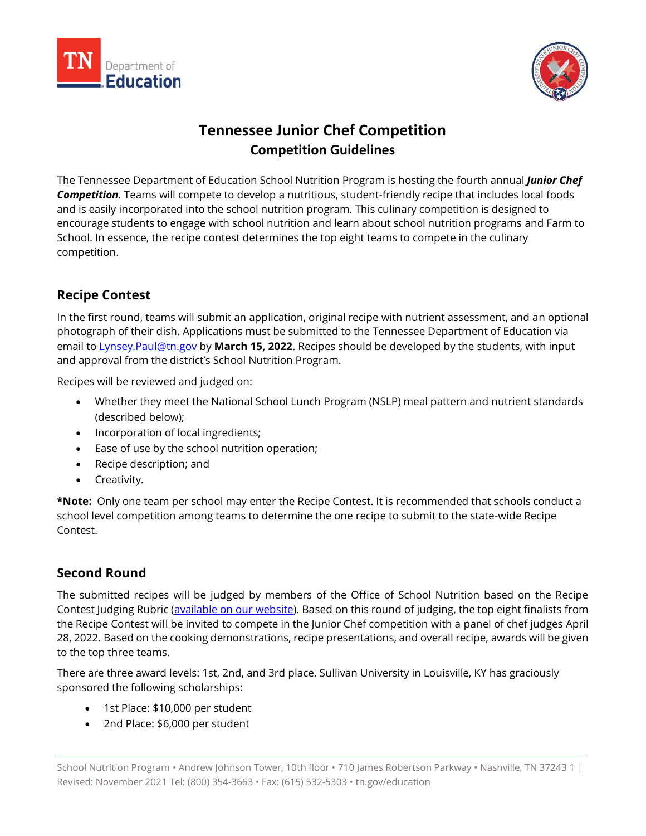



# **Tennessee Junior Chef Competition Competition Guidelines**

The Tennessee Department of Education School Nutrition Program is hosting the fourth annual *Junior Chef Competition*. Teams will compete to develop a nutritious, student-friendly recipe that includes local foods and is easily incorporated into the school nutrition program. This culinary competition is designed to encourage students to engage with school nutrition and learn about school nutrition programs and Farm to School. In essence, the recipe contest determines the top eight teams to compete in the culinary competition.

# **Recipe Contest**

In the first round, teams will submit an application, original recipe with nutrient assessment, and an optional photograph of their dish. Applications must be submitted to the Tennessee Department of Education via email to [Lynsey.Paul@tn.gov](mailto:Lynsey.Paul@tn.gov) by **March 15, 2022**. Recipes should be developed by the students, with input and approval from the district's School Nutrition Program.

Recipes will be reviewed and judged on:

- Whether they meet the National School Lunch Program (NSLP) meal pattern and nutrient standards (described below);
- Incorporation of local ingredients;
- Ease of use by the school nutrition operation;
- Recipe description; and
- Creativity.

**\*Note:** Only one team per school may enter the Recipe Contest. It is recommended that schools conduct a school level competition among teams to determine the one recipe to submit to the state-wide Recipe Contest.

# **Second Round**

The submitted recipes will be judged by members of the Office of School Nutrition based on the Recipe Contest Judging Rubric [\(available on our website\)](https://www.tn.gov/education/snp-resources/snp-marketing.html). Based on this round of judging, the top eight finalists from the Recipe Contest will be invited to compete in the Junior Chef competition with a panel of chef judges April 28, 2022. Based on the cooking demonstrations, recipe presentations, and overall recipe, awards will be given to the top three teams.

There are three award levels: 1st, 2nd, and 3rd place. Sullivan University in Louisville, KY has graciously sponsored the following scholarships:

- 1st Place: \$10,000 per student
- 2nd Place: \$6,000 per student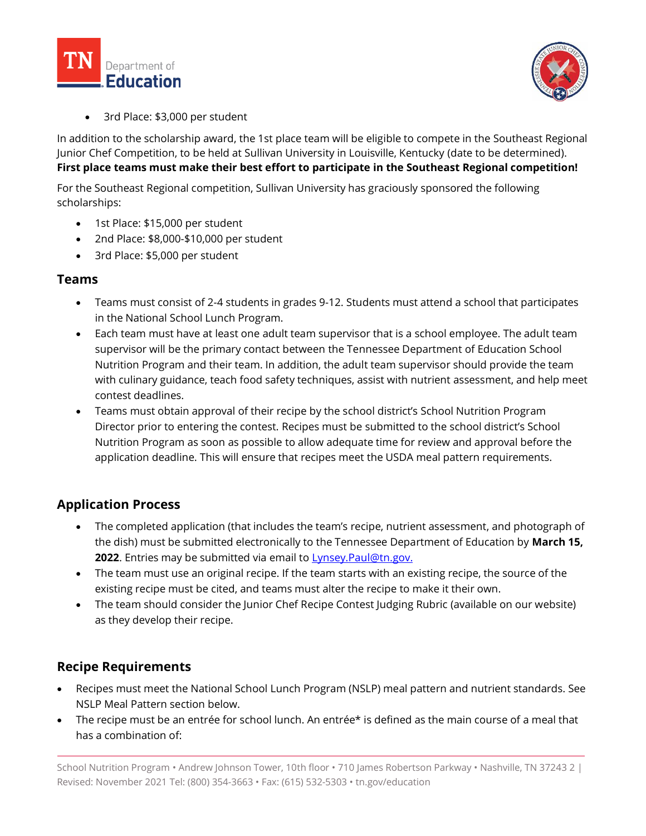



• 3rd Place: \$3,000 per student

In addition to the scholarship award, the 1st place team will be eligible to compete in the Southeast Regional Junior Chef Competition, to be held at Sullivan University in Louisville, Kentucky (date to be determined). **First place teams must make their best effort to participate in the Southeast Regional competition!**

For the Southeast Regional competition, Sullivan University has graciously sponsored the following scholarships:

- 1st Place: \$15,000 per student
- 2nd Place: \$8,000-\$10,000 per student
- 3rd Place: \$5,000 per student

## **Teams**

- Teams must consist of 2-4 students in grades 9-12. Students must attend a school that participates in the National School Lunch Program.
- Each team must have at least one adult team supervisor that is a school employee. The adult team supervisor will be the primary contact between the Tennessee Department of Education School Nutrition Program and their team. In addition, the adult team supervisor should provide the team with culinary guidance, teach food safety techniques, assist with nutrient assessment, and help meet contest deadlines.
- Teams must obtain approval of their recipe by the school district's School Nutrition Program Director prior to entering the contest. Recipes must be submitted to the school district's School Nutrition Program as soon as possible to allow adequate time for review and approval before the application deadline. This will ensure that recipes meet the USDA meal pattern requirements.

# **Application Process**

- The completed application (that includes the team's recipe, nutrient assessment, and photograph of the dish) must be submitted electronically to the Tennessee Department of Education by **March 15, 2022.** Entries may be submitted via email to **Lynsey.Paul@tn.gov.**
- The team must use an original recipe. If the team starts with an existing recipe, the source of the existing recipe must be cited, and teams must alter the recipe to make it their own.
- The team should consider the Junior Chef Recipe Contest Judging Rubric (available on our website) as they develop their recipe.

# **Recipe Requirements**

- Recipes must meet the National School Lunch Program (NSLP) meal pattern and nutrient standards. See NSLP Meal Pattern section below.
- The recipe must be an entrée for school lunch. An entrée\* is defined as the main course of a meal that has a combination of:

School Nutrition Program • Andrew Johnson Tower, 10th floor • 710 James Robertson Parkway • Nashville, TN 37243 2 | Revised: November 2021 Tel: (800) 354-3663 • Fax: (615) 532-5303 • tn.gov/education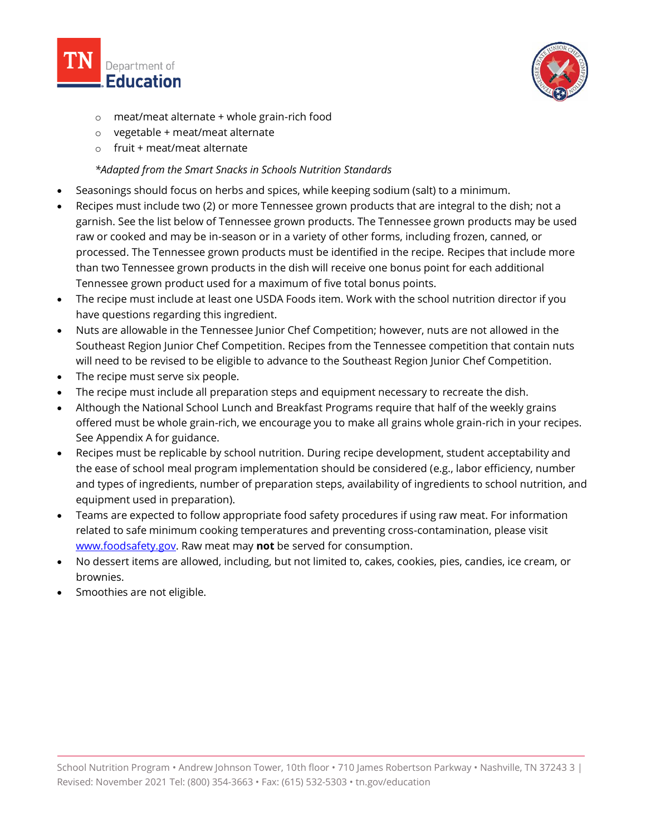



- o meat/meat alternate + whole grain-rich food
- o vegetable + meat/meat alternate
- $\circ$  fruit + meat/meat alternate

## *\*Adapted from the Smart Snacks in Schools Nutrition Standards*

- Seasonings should focus on herbs and spices, while keeping sodium (salt) to a minimum.
- Recipes must include two (2) or more Tennessee grown products that are integral to the dish; not a garnish. See the list below of Tennessee grown products. The Tennessee grown products may be used raw or cooked and may be in-season or in a variety of other forms, including frozen, canned, or processed. The Tennessee grown products must be identified in the recipe. Recipes that include more than two Tennessee grown products in the dish will receive one bonus point for each additional Tennessee grown product used for a maximum of five total bonus points.
- The recipe must include at least one USDA Foods item. Work with the school nutrition director if you have questions regarding this ingredient.
- Nuts are allowable in the Tennessee Junior Chef Competition; however, nuts are not allowed in the Southeast Region Junior Chef Competition. Recipes from the Tennessee competition that contain nuts will need to be revised to be eligible to advance to the Southeast Region Junior Chef Competition.
- The recipe must serve six people.
- The recipe must include all preparation steps and equipment necessary to recreate the dish.
- Although the National School Lunch and Breakfast Programs require that half of the weekly grains offered must be whole grain-rich, we encourage you to make all grains whole grain-rich in your recipes. See Appendix A for guidance.
- Recipes must be replicable by school nutrition. During recipe development, student acceptability and the ease of school meal program implementation should be considered (e.g., labor efficiency, number and types of ingredients, number of preparation steps, availability of ingredients to school nutrition, and equipment used in preparation).
- Teams are expected to follow appropriate food safety procedures if using raw meat. For information related to safe minimum cooking temperatures and preventing cross-contamination, please visit [www.foodsafety.gov.](http://www.foodsafety.gov/) Raw meat may **not** be served for consumption.
- No dessert items are allowed, including, but not limited to, cakes, cookies, pies, candies, ice cream, or brownies.
- Smoothies are not eligible.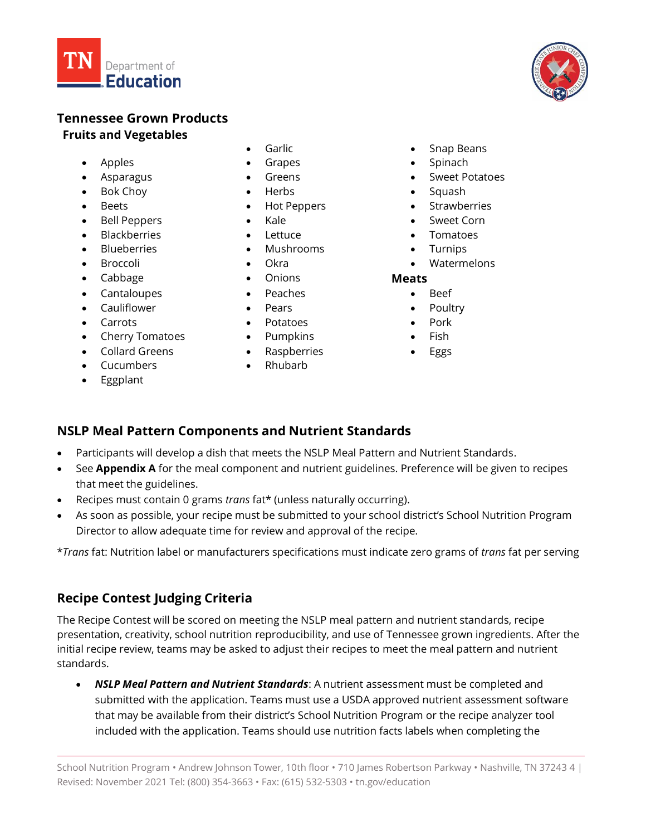

## **Tennessee Grown Products Fruits and Vegetables**

- 
- 
- Bok Choy Herbs Squash
- 
- Bell Peppers Kale Cornel Sweet Corn
- Blackberries Lettuce Tomatoes
- 
- 
- Cabbage Onions **Meats**
- Cantaloupes Peaches Beef
- Cauliflower Pears Pears Poultry
- 
- **Cherry Tomatoes** Pumpkins Fish
- Collard Greens Raspberries Eggs
- Cucumbers Rhubarb
- Eggplant
- 
- 
- 
- 
- Beets Hot Peppers Strawberries
	-
	-
- Blueberries Mushrooms Turnips
	-
	-
	-
	-
- Carrots Potatoes Pork
	-
	-
	-
	- -
- 
- 
- -
	-
	-
	-
- Garlic Snap Beans
- Apples Grapes Spinach
	- Asparagus Greens Sweet Potatoes
		-
		-
		-
		-
		-
- Broccoli Okra Watermelons

- 
- 
- 
- 
- 

## **NSLP Meal Pattern Components and Nutrient Standards**

- Participants will develop a dish that meets the NSLP Meal Pattern and Nutrient Standards.
- See **Appendix A** for the meal component and nutrient guidelines. Preference will be given to recipes that meet the guidelines.
- Recipes must contain 0 grams *trans* fat\* (unless naturally occurring).
- As soon as possible, your recipe must be submitted to your school district's School Nutrition Program Director to allow adequate time for review and approval of the recipe.

\**Trans* fat: Nutrition label or manufacturers specifications must indicate zero grams of *trans* fat per serving

# **Recipe Contest Judging Criteria**

The Recipe Contest will be scored on meeting the NSLP meal pattern and nutrient standards, recipe presentation, creativity, school nutrition reproducibility, and use of Tennessee grown ingredients. After the initial recipe review, teams may be asked to adjust their recipes to meet the meal pattern and nutrient standards.

• *NSLP Meal Pattern and Nutrient Standards*: A nutrient assessment must be completed and submitted with the application. Teams must use a USDA approved nutrient assessment software that may be available from their district's School Nutrition Program or the recipe analyzer tool included with the application. Teams should use nutrition facts labels when completing the

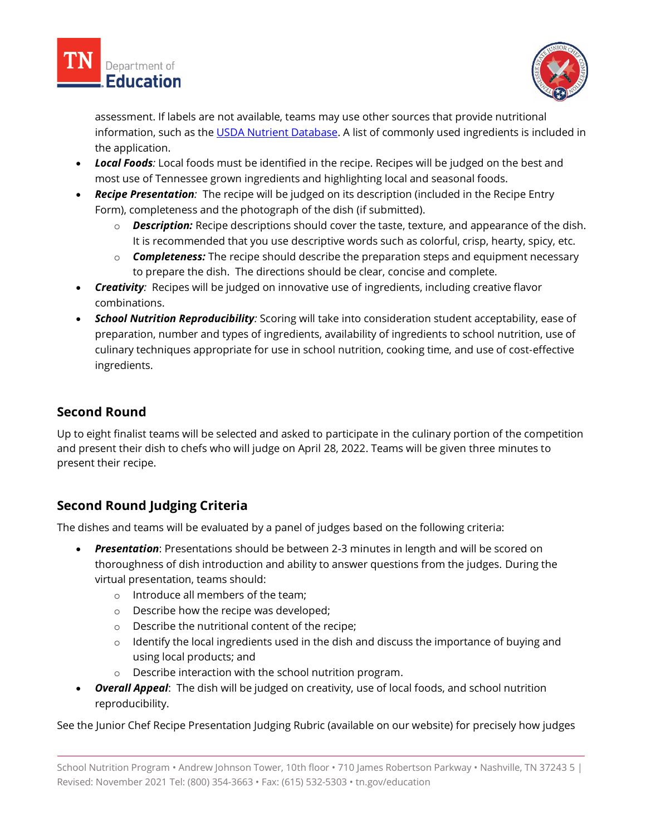



assessment. If labels are not available, teams may use other sources that provide nutritional information, such as the [USDA Nutrient Database.](https://ndb.nal.usda.gov/) A list of commonly used ingredients is included in the application.

- *Local Foods:* Local foods must be identified in the recipe. Recipes will be judged on the best and most use of Tennessee grown ingredients and highlighting local and seasonal foods.
- *Recipe Presentation:* The recipe will be judged on its description (included in the Recipe Entry Form), completeness and the photograph of the dish (if submitted).
	- o *Description:* Recipe descriptions should cover the taste, texture, and appearance of the dish. It is recommended that you use descriptive words such as colorful, crisp, hearty, spicy, etc.
	- o *Completeness:* The recipe should describe the preparation steps and equipment necessary to prepare the dish. The directions should be clear, concise and complete.
- *Creativity:* Recipes will be judged on innovative use of ingredients, including creative flavor combinations.
- *School Nutrition Reproducibility:* Scoring will take into consideration student acceptability, ease of preparation, number and types of ingredients, availability of ingredients to school nutrition, use of culinary techniques appropriate for use in school nutrition, cooking time, and use of cost-effective ingredients.

# **Second Round**

Up to eight finalist teams will be selected and asked to participate in the culinary portion of the competition and present their dish to chefs who will judge on April 28, 2022. Teams will be given three minutes to present their recipe.

# **Second Round Judging Criteria**

The dishes and teams will be evaluated by a panel of judges based on the following criteria:

- *Presentation*: Presentations should be between 2-3 minutes in length and will be scored on thoroughness of dish introduction and ability to answer questions from the judges. During the virtual presentation, teams should:
	- o Introduce all members of the team;
	- o Describe how the recipe was developed;
	- o Describe the nutritional content of the recipe;
	- $\circ$  Identify the local ingredients used in the dish and discuss the importance of buying and using local products; and
	- o Describe interaction with the school nutrition program.
- *Overall Appeal*: The dish will be judged on creativity, use of local foods, and school nutrition reproducibility.

See the Junior Chef Recipe Presentation Judging Rubric (available on our website) for precisely how judges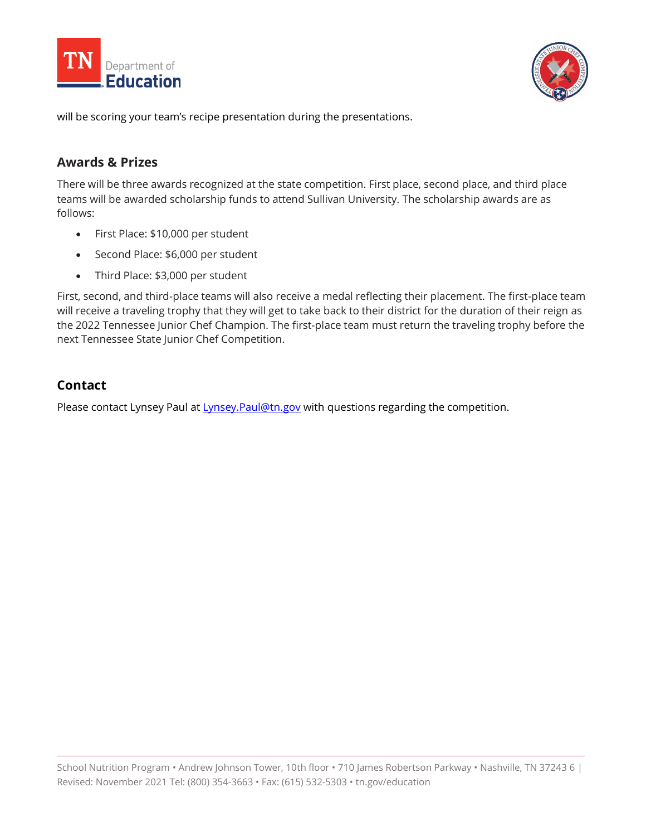



will be scoring your team's recipe presentation during the presentations.

## **Awards & Prizes**

There will be three awards recognized at the state competition. First place, second place, and third place teams will be awarded scholarship funds to attend Sullivan University. The scholarship awards are as follows:

- First Place: \$10,000 per student
- Second Place: \$6,000 per student
- Third Place: \$3,000 per student

First, second, and third-place teams will also receive a medal reflecting their placement. The first-place team will receive a traveling trophy that they will get to take back to their district for the duration of their reign as the 2022 Tennessee Junior Chef Champion. The first-place team must return the traveling trophy before the next Tennessee State Junior Chef Competition.

## **Contact**

Please contact Lynsey Paul at Lynsey. Paul@tn.gov with questions regarding the competition.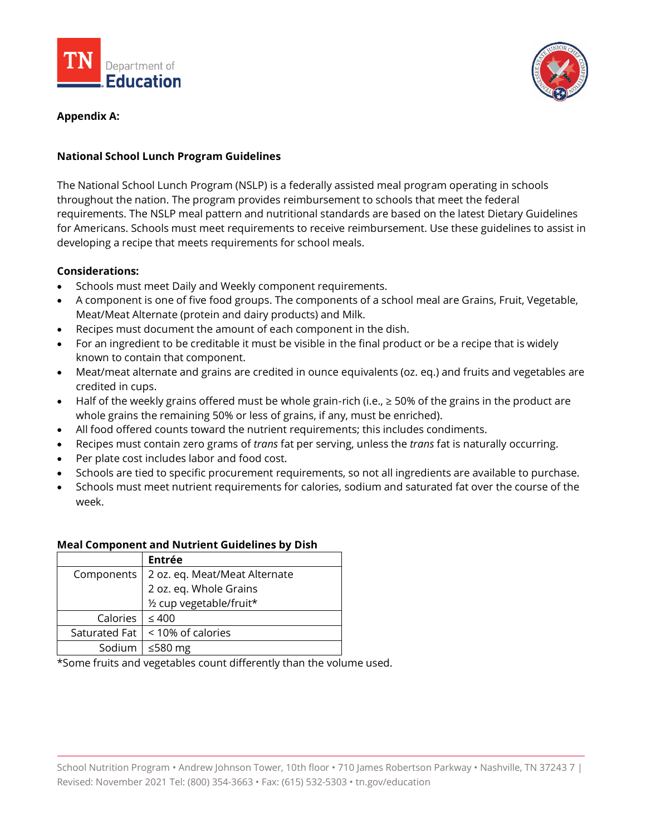



## **Appendix A:**

## **National School Lunch Program Guidelines**

The National School Lunch Program (NSLP) is a federally assisted meal program operating in schools throughout the nation. The program provides reimbursement to schools that meet the federal requirements. The NSLP meal pattern and nutritional standards are based on the latest Dietary Guidelines for Americans. Schools must meet requirements to receive reimbursement. Use these guidelines to assist in developing a recipe that meets requirements for school meals.

#### **Considerations:**

- Schools must meet Daily and Weekly component requirements.
- A component is one of five food groups. The components of a school meal are Grains, Fruit, Vegetable, Meat/Meat Alternate (protein and dairy products) and Milk.
- Recipes must document the amount of each component in the dish.
- For an ingredient to be creditable it must be visible in the final product or be a recipe that is widely known to contain that component.
- Meat/meat alternate and grains are credited in ounce equivalents (oz. eq.) and fruits and vegetables are credited in cups.
- Half of the weekly grains offered must be whole grain-rich (i.e.,  $\geq$  50% of the grains in the product are whole grains the remaining 50% or less of grains, if any, must be enriched).
- All food offered counts toward the nutrient requirements; this includes condiments.
- Recipes must contain zero grams of *trans* fat per serving, unless the *trans* fat is naturally occurring.
- Per plate cost includes labor and food cost.
- Schools are tied to specific procurement requirements, so not all ingredients are available to purchase.
- Schools must meet nutrient requirements for calories, sodium and saturated fat over the course of the week.

#### **Meal Component and Nutrient Guidelines by Dish**

|               | Entrée                        |
|---------------|-------------------------------|
| Components    | 2 oz. eq. Meat/Meat Alternate |
|               | 2 oz. eq. Whole Grains        |
|               | 1/2 cup vegetable/fruit*      |
| Calories      | $\leq 400$                    |
| Saturated Fat | < 10% of calories             |
| Sodium        | ≤580 $mg$                     |

\*Some fruits and vegetables count differently than the volume used.